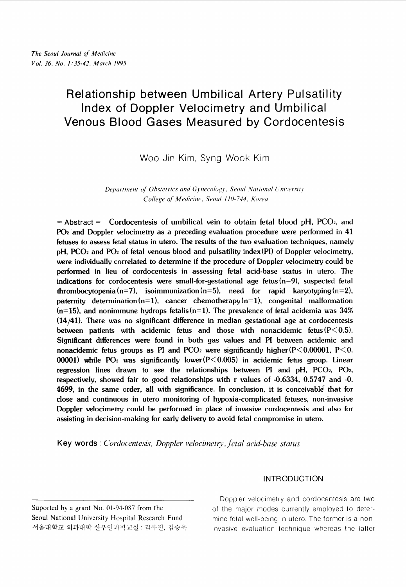# **Relationship between Umbilical Artery Pulsatility Index of Doppler Velocimetry and Umbilical Venous Blood Gases Measured by Cordocentesis**

Woo Jin Kim, Syng Wook Kim

*Department of Obstetrics and Gynecology, Seoul National University College of Medicine, Seoul 110-744. Korea* 

= **Abstract** = Cordocentesis of umbilical vein to obtain fetal blood pH, PC02, and **PO2** and Doppler velocimetry as a preceding evaluation procedure were performed in 41 fetuses to assess fetal status in utero. The results of the two evaluation techniques, namely pH, **PC02** and P02 of fetal venous blood and pulsatility index(P1) of Doppler velocimetry, were individually correlated to determine if the procedure of Doppler velocimetry could be performed in lieu of cordocentesis in assessing fetal acid-base status in utero. The indications for cordocentesis were small-for-gestational age fetus  $(n=9)$ , suspected fetal thrombocytopenia (n=7), isoimmunization (n=5), need for rapid karyotyping (n=2), paternity determination  $(n=1)$ , cancer chemotherapy  $(n=1)$ , congenital malformation  $(n=15)$ , and nonimmune hydrops fetalis  $(n=1)$ . The prevalence of fetal acidemia was 34%  $(14/41)$ . There was no significant difference in median gestational age at cordocentesis between patients with acidemic fetus and those with nonacidemic fetus( $P < 0.5$ ). Significant differences were found in both gas values and PI between acidemic and nonacidemic fetus groups as PI and PCO<sub>2</sub> were significantly higher( $P \le 0.00001$ ,  $P \le 0$ . 00001) while PO<sub>2</sub> was significantly lower( $P < 0.005$ ) in acidemic fetus group. Linear regression lines drawn to see the relationships between PI and  $pH$ , PCO<sub>2</sub>, PO<sub>2</sub>, respectively, showed fair to good relationships with r values of -0.6334, 0.5747 and -0. 4699, in the same order, all with significance. In conclusion, it is conceivable that for close and continuous in utero monitoring of hypoxia-complicated fetuses, non-invasive Doppler velocimetry could be performed in place of invasive cordocentesis and also for assisting in decision-making for early delivery to avoid fetal compromise in utero.

**Key words** : *Cordocentesis, Doppler velocimetry, fetal acid-base status* 

# **INTRODUCTION**

Doppler velocimetry and cordocentesis are two Suported by a grant No. 01-94-087 from the of the major modes currently employed to deter-Seoul National University Hospital Research Fund mine fetal well-being in utero. The former is a non-서울대학교 의과대학 산부인과학교실 : 김우진, 김승욱 · · · invasive evaluation technique whereas the latter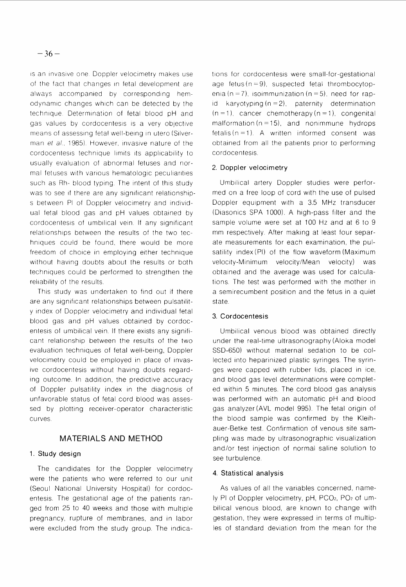is an invasive one. Doppler velocimetry makes use of the fact that changes in fetal development are always accompanied by corresponding hemodynamic changes which can be detected by the technique. Determination of fetal blood pH and gas values by cordocentesis is a very objective means of assessing fetal well-being in utero (Silverman et al., 1985). However, invasive nature of the cordocentesis technique limits its applicability to usually evaluation of abnormal fetuses and normal fetuses with various hematologic peculiarities such as Rh- blood typing. The intent of this study was to see if there are any significant relationships between PI of Doppler velocimetry and individual fetal blood gas and pH values obtained by cordocentesis of umbilical vein. If any significant relationships between the results of the two techniques could be found, there would be more freedom of choice in employing either technique without having doubts about the results or both techniques could be performed to strengthen the reliability of the results.

This study was undertaken to find out if there are any significant relationships between pulsatility index of Doppler velocimetry and individual fetal blood gas and pH values obtained by cordocentesis of umbilical vein. If there exists any significant relationship between the results of the two evaluation techniques of fetal well-being, Doppler velocimetry could be employed in place of invasive cordocentesis without having doubts regarding outcome. In addition, the predictive accuracy of Doppler pulsatility index in the diagnosis of unfavorable status of fetal cord blood was assessed by plotting receiver-operator characteristic curves

# MATERIALS AND METHOD

## 1. Study design

The candidates for the Doppler velocimetry were the patients who were referred to our unit (Seoul National University Hospital) for cordocentesis. The gestational age of the patients ranged from 25 to 40 weeks and those with multiple pregnancy, rupture of membranes, and in labor were excluded from the study group. The indications for cordocentesis were small-for-gestational age fetus  $(n=9)$ , suspected fetal thrombocytopenia (n = 7), iso immunization (n = 5), need for rap $id$  karyotyping (n = 2), paternity determination  $(n = 1)$ , cancer chemotherapy  $(n = 1)$ , congenital malformation ( $n = 15$ ), and nonimmune hydrops fetalis ( $n=1$ ). A written informed consent was obtained from all the patients prior to performing cordocentesis.

# 2. Doppler velocimetry

Umbilical artery Doppler studies were performed on a free loop of cord with the use of pulsed Doppler equipment with a 3.5 MHz transducer (Diasonics SPA 1000). A high-pass filter and the sample volume were set at 100 Hz and at 6 to 9 mm respectively. After making at least four separate measurements for each examination, the pulsatility index  $(PI)$  of the flow waveform (Maximum velocity-Minimum velocity/Mean velocity) was obtained and the average was used for calculations. The test was performed with the mother in a semirecumbent position and the fetus in a quiet state.

# 3. Cordocentesis

Umbilical venous blood was obtained directly under the real-time ultrasonography (Aloka model SSD-650) without maternal sedation to be collected into heparinized plastic syringes. The syringes were capped with rubber lids, placed in ice, and blood gas level determinations were completed within 5 minutes. The cord blood gas analysis was performed with an automatic pH and blood gas analyzer (AVL model 995). The fetal origin of the blood sample was confirmed by the Kleihauer-Betke test. Confirmation of venous site sampling was made by ultrasonographic visualization and/or test injection of normal saline solution to see turbulence.

## 4. Statistical analysis

As values of all the variables concerned, namely PI of Doppler velocimetry, pH, PC02, PO2 of umbilical venous blood, are known to change with gestation, they were expressed in terms of multiples of standard deviation from the mean for the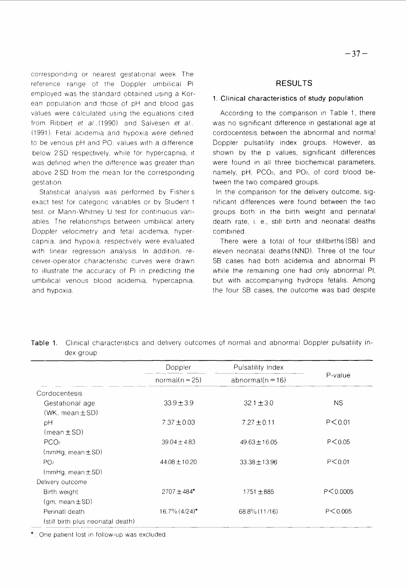corresponding or nearest gestational week. The reference range of the Doppler umbilical PI employed was the standard obtained using a Korean population and those of pH and blood gas values were calculated using the equations cited from Ribbert et al. (1990). and Salvesen et al., (1991). Fetal acidemia and hypoxia were defined to be venous  $pH$  and PO $c$  values with a difference below 2SD respectively, while for hypercapnia, it was defined when the difference was greater than above 2 SD from the mean for the corresponding gestation.

Statistical analysis was performed by Fisher's exact test for categoric variables or by Student t test, or Mann-Whitney U test for continuous variables. The relationships between umbilical artery Doppler velocimetry and fetal acidemia, hypercapnia, and hypoxia, respectively were evaluated with linear regression analysis. In addition, receiver-operator characteristic curves were drawn to illustrate the accuracy of PI in predicting the umbilical venous blood acidemia, hypercapnia, and hypoxia.

#### RESULTS

#### 1. Clinical characteristics of study population

According to the comparison in Table 1, there was no significant difference in gestational age at cordocentesis between the abnormal and normal Doppler pulsatility index groups. However, as shown by the p values, significant differences were found in all three biochemical parameters, namely,  $pH$ ,  $PCO<sub>2</sub>$ , and  $PO<sub>2</sub>$ , of cord blood between the two compared groups.

In the comparison for the delivery outcome, significant differences were found between the two groups both in the birth weight and perinatal death rate, i, e., still birth and neonatal deaths combined.

There were a total of four stillbirths (SB) and eleven neonatal deaths(NND). Three of the four SB cases had both acidemia and abnormal PI while the remaining one had only abnormal PI, but with accompanying hydrops fetalis. Among the four SB cases, the outcome was bad despite

|                                   | Doppler<br>$normal(n = 25)$ | Pulsatility Index<br>abnormal( $n = 16$ ) | P-value    |
|-----------------------------------|-----------------------------|-------------------------------------------|------------|
|                                   |                             |                                           |            |
| Cordocentesis                     |                             |                                           |            |
| Gestational age                   | $339 + 39$                  | $32.1 \pm 3.0$                            | <b>NS</b>  |
| (WK, mean $\pm$ SD)               |                             |                                           |            |
| рH                                | $7.37 \pm 0.03$             | $7.27 \pm 0.11$                           | P < 0.01   |
| $(mean \pm SD)$                   |                             |                                           |            |
| PCO <sub>2</sub>                  | $39.04 \pm 4.83$            | $49.63 \pm 16.05$                         | P < 0.05   |
| $(mmHg, mean \pm SD)$             |                             |                                           |            |
| PO <sub>2</sub>                   | 44.08±10.20                 | $33.38 \pm 13.96$                         | P < 0.01   |
| $(mmHg, mean \pm SD)$             |                             |                                           |            |
| Delivery outcome                  |                             |                                           |            |
| Birth weight                      | $2707 \pm 484$ *            | 1751 $\pm$ 885                            | P < 0.0005 |
| $(gm, mean \pm SD)$               |                             |                                           |            |
| PerinatI death                    | $16.7\%$ $(4/24)^*$         | 68.8% (11/16)                             | P < 0.005  |
| (still birth plus neonatal death) |                             |                                           |            |

Table 1. Clinical characteristics and delivery outcomes of normal and abnormal Doppler pulsatility index group

\* : One patient lost in follow-up was excluded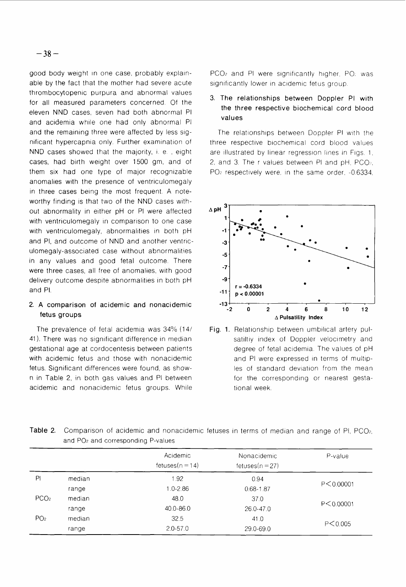good body weight in one case, probably explainable by the fact that the mother had severe acute thrombocytopenic purpura and abnormal values for all measured parameters concerned. Of the eleven NND cases, seven had both abnormal PI and acidemia whlle one had only abnormal PI and the remaining three were affected by less significant hypercapnia only. Further examination of NND cases showed that the majority, i. e. , eight cases, had birth weight over 1500 gm, and of them six had one type of major recognizable anomalies with the presence of ventriculomegaly in three cases being the most frequent. A noteworthy finding is that two of the NND cases without abnormality in either pH or PI were affected with ventriculomegaly in comparison to one case with ventriculomegaly, abnormalities in both pH and PI, and outcome of NND and another ventriculomegaly-associated case without abnormalities in any values and good fetal outcome. There were three cases, all free of anomalies, with good delivery outcome despite abnormalities in both pH and PI.

## 2. A comparison of acidemic and nonacidemic fetus groups

The prevalence of fetal acidemia was 34% (14/ 41). There was no significant difference in median gestational age at cordocentesis between patients with acidemic fetus and those with nonacidemic fetus. Significant differences were found, as shown in Table 2, in both gas values and PI between acidemic and nonacidemic fetus groups. While

range

 $PCO<sub>2</sub>$  and PI were significantly higher, PO $<sub>i</sub>$  was</sub> significantly lower in acidemic fetus group.

# 3. The relationships between Doppler PI with the three respective biochemical cord blood values

The relationships between Doppler PI with the three respective blochemlcal cord blood values are illustrated by linear regression lines in Figs. 1. 2, and 3. The r values between PI and  $pH$ , PCO $\alpha$ , PO<sub>2</sub> respectively were, in the same order, -0.6334,



Fig. 1. Relationship between umbilical artery pulsatiltiy index of Doppler velocimetry and degree of fetal acidemia. The values of pH and PI were expressed in terms of multiples of standard deviation from the mean for the corresponding or nearest gestational week.

| and PO <sub>2</sub> and corresponding P-values |           |                                |                                 |             |  |
|------------------------------------------------|-----------|--------------------------------|---------------------------------|-------------|--|
|                                                |           | Acidemic<br>fetuses $(n = 14)$ | Nonacidemic<br>fetuses $(n=27)$ | P-value     |  |
| PI                                             | median    | 1.92                           | 0.94                            | P < 0.00001 |  |
|                                                | range     | $1.0 - 2.86$                   | $0.68 - 1.87$                   |             |  |
| PCO <sub>2</sub>                               | median    | 48.0                           | 37.0                            |             |  |
| range                                          | 40.0-86.0 | 26.0-47.0                      | P < 0.00001                     |             |  |
| PO <sub>2</sub>                                | median    | 32.5                           | 41.0                            |             |  |
|                                                |           |                                |                                 | P < 0.005   |  |

29.0-69.0

 $2.0 - 57.0$ 

Table 2. Comparison of acidemic and nonacidemic fetuses in terms of median and range of PI, PCO<sub>2</sub>, and PO2 and corresponding P-values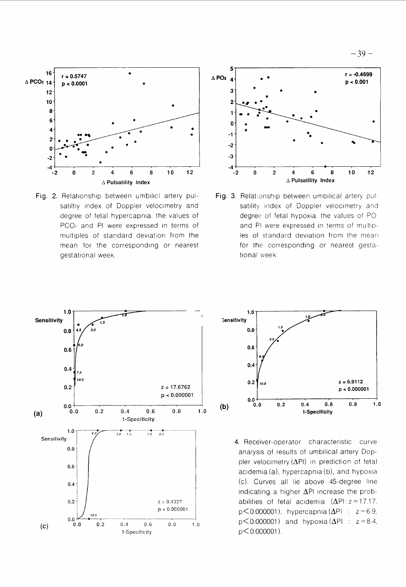



Fig. 2. Relationship between umbilicl artery pulsatiltiy index of Doppler velocimetry and degree of fetal hypercapnia. the values of PC02 and PI were expressed in terms of multiples of standard deviation from the mean for the corresponding or nearest gestational week



Fig. 3. Relationship between umbilical artery pulsatility index of Doppler velocimetry and degree of fetal hypoxia. the values of PO and PI were expressed in terms of multiples of standard deviation from the mean for the corresponding or nearest gestational week.





**4.** Receiver-operator characteristic curve analysis of results of umbilical artery Doppler velocimetry  $(\Delta P I)$  in prediction of fetal acidemia  $(a)$ , hypercapnia  $(b)$ , and hypoxia (c). Curves all lie above 45-degree line indicating a higher  $\Delta$ PI increase the probabilities of fetal acidemia  $(\Delta P)$ :  $z = 17.17$ ,  $p$ <0.000001), hypercapnia ( $\Delta$ PI :  $z = 6.9$ ,  $p$ <0.000001) and hypoxia ( $\Delta$ PI :  $z = 8.4$ , p< 0.000001 ).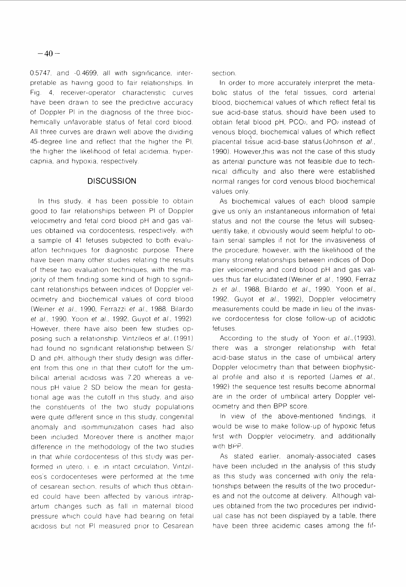0.5747, and -0.4699, all with significance, interpretable as having good to fair relationships. In Fig. 4, receiver-operator characteristic curves have been drawn to see the predictive accuracy of Doppler PI in the diagnosis of the three biochemically unfavorable status of fetal cord blood. All three curves are drawn well above the dividing 45-degree line and reflect that the higher the PI, the higher the likelihood of fetal acidemia, hypercapnia, and hypoxia, respectively.

## **DISCUSSION**

In this study, it has been possible to obtain good to fair relationships between PI of Doppler velocimetry and fetal cord blood pH and gas values obtained via cordocentesis, respectively, with a sample of 41 fetuses subjected to both evaluation techniques for diagnostic purpose. There have been many other studies relating the results of these two evaluation techniques, with the majority of them finding some kind of high to significant relationships between indices of Doppler velocimetry and biochemical values of cord blood (Weiner et al., 1990, Ferrazzi et al., 1988, Bilardo et al., 1990, Yoon et al., 1992, Guyot et al., 1992). However, there have also been few studies opposing such a relationship. Vintzileos et al. (1991) had found no significant relationship between S/ D and pH, although their study design was different from this one in that their cutoff for the umbilical arterial acidosis was 7.20 whereas a venous pH value 2 SD below the mean for gestational age was the cutoff in this study, and also the constituents of the two study populations were quite different since in this study, congenital anomaly and isolmmunization cases had also been included. Moreover there is another major difference in the methodology of the two studies in that while cordocentesis of this study was performed in utero, i. e. in intact circulation, Vintzileos's cordocenteses were performed at the time of cesarean section, results of which thus obtained could have been affected by various intrapartum changes such as fall in maternal blood pressure which could have had bearing on fetal acidosis but not PI measured prior to Cesarean section.

In order to more accurately interpret the metabolic status of the fetal tissues, cord arterial blood, biochemical values of which reflect fetal tis sue acid-base status, should have been used to obtain fetal blood pH, PCO<sub>2</sub>, and PO<sub>2</sub> instead of venous blood, biochemical values of which reflect placental tissue acid-base status (Johnson et al., 1990). However, this was not the case of this study as arterial puncture was not feasible due to technical difficulty and also there were established normal ranges for cord venous blood biochemical values only.

As biochemical values of each blood sample give us only an instantaneous information of fetal status and not the course the fetus will subsequently take, it obviously would seem helpful to obtain serial samples if not for the invasiveness of the procedure; however, with the likelihood of the many strong relationships between indices of Doppler velocimetry and cord blood pH and gas values thus far elucidated (Weiner et al., 1990, Ferraz zi et al., 1988, Bilardo et al., 1990, Yoon et al., 1992, Guyot et al., 1992), Doppler velocimetry measurements could be made in lieu of the invasive cordocentesis for close follow-up of acidotic fetuses.

According to the study of Yoon et al., (1993), there was a stronger relationship with fetal acid-base status in the case of umbilical artery Doppler velocimetry than that between biophysical profile and also it is reported (James et al., 1992) the sequence test results become abnormal are in the order of umbilical artery Doppler velocimetry and then BPP score.

In view of the above-mentioned findings, it would be wise to make follow-up of hypoxic fetus first with Doppler velocimetry, and additionally with BPP.

As stated earlier, anomaly-associated cases have been included in the analysis of this study as this study was concerned with only the relationships between the results of the two procedures and not the outcome at delivery. Although values obtained from the two procedures per individual case has not been displayed by a table, there have been three acidemic cases among the fif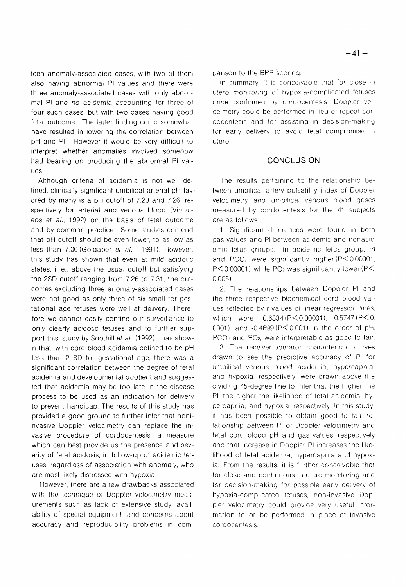teen anomaly-associated cases, with two of them also having abnormal PI values and there were three anomaly-associated cases with only abnormal PI and no acidemia accounting for three of four such cases; but with two cases having good fetal outcome. The latter finding could somewhat have resulted in lowering the correlation between pH and PI. However it would be very difficult to interpret whether anomalies involved somehow had bearing on producing the abnormal PI values.

Although criteria of acidemia is not well defined, clinically significant umbilical arterial pH favored by many is a pH cutoff of 7.20 and 7.26, respectively for arterial and venous blood (Vintzileos et al., 1992) on the basis of fetal outcome and by common practice. Some studies contend that pH cutoff should be even lower, to as low as less than 7.00 (Goldaber et al., 1991). However, this study has shown that even at mild acidotic states, i. e., above the usual cutoff but satisfying the 2SD cutoff ranging from 7.26 to 7.31, the outcomes excluding three anomaly-associated cases were not good as only three of six small for gestational age fetuses were well at delivery. Therefore we cannot easily confine our surveillance to only clearly acidotic fetuses and to further support this, study by Soothill et al., (1992). has shown that, with cord blood acidemia defined to be pH less than 2 SD for gestational age, there was a significant correlation between the degree of fetal acidemia and developmental quotient and suggested that acidemia may be too late in the disease process to be used as an indication for delivery to prevent handicap. The results of this study has provided a good ground to further infer that noninvasive Doppler velocimetry can replace the invasive procedure of cordocentesis, a measure which can best provide us the presence and severity of fetal acidosis, in follow-up of acidemic fetuses, regardless of association with anomaly, who are most likely distressed with hypoxia.

However, there are a few drawbacks associated with the technique of Doppler velocimetry measurements such as lack of extensive study, availability of special equipment, and concerns about accuracy and reproducibility problems in comparison to the BPP scoring.

In summary, it is conceivable that for close in utero monitoring of hypoxia-complicated fetuses once confirmed by cordocentesis, Doppler velocimetry could be performed in lieu of repeat cordocentesis and for assisting in decision-making for early delivery to avoid fetal compromise in utero.

#### **CONCLUSION**

The results pertaining to the relationship between umbilical artery pulsatility index of Doppler velocimetry and umbilical venous blood gases measured by cordocentesis for the 41 subjects are as follows:

1. Significant differences were found in both gas values and PI between acidemic and nonacid emic fetus groups. In acidemic fetus group, PI and PCO<sub>2</sub> were significantly higher (P < 0.00001,  $P<0.00001$ ) while PO<sub>2</sub> was significantly lower (P $<$  $0.005$ ).

2. The relationships between Doppler PI and the three respective biochemical cord blood values reflected by r values of linear regression lines, which were  $-0.6334 (P<0.00001)$ ,  $0.5747 (P<0.00001)$ 0001), and -0.4699 ( $P \le 0.001$ ) in the order of pH, PCO<sub>2</sub> and PO<sub>2</sub>, were interpretable as good to fair.

3. The receiver-operator characteristic curves drawn to see the predictive accuracy of PI for umbilical venous blood acidemia, hypercapnia, and hypoxia, respectively, were drawn above the dividing 45-degree line to infer that the higher the PI, the higher the likelihood of fetal acidemia, hypercapnia, and hypoxia, respectively. In this study, it has been possible to obtain good to fair relationship between PI of Doppler velocimetry and fetal cord blood pH and gas values, respectively and that increase in Doppler PI increases the likelihood of fetal acidemia, hypercapnia and hypoxia. From the results, it is further conceivable that for close and continuous in utero monitoring and for decision-making for possible early delivery of hypoxia-complicated fetuses, non-invasive Doppler velocimetry could provide very useful information to or be performed in place of invasive cordocentesis.